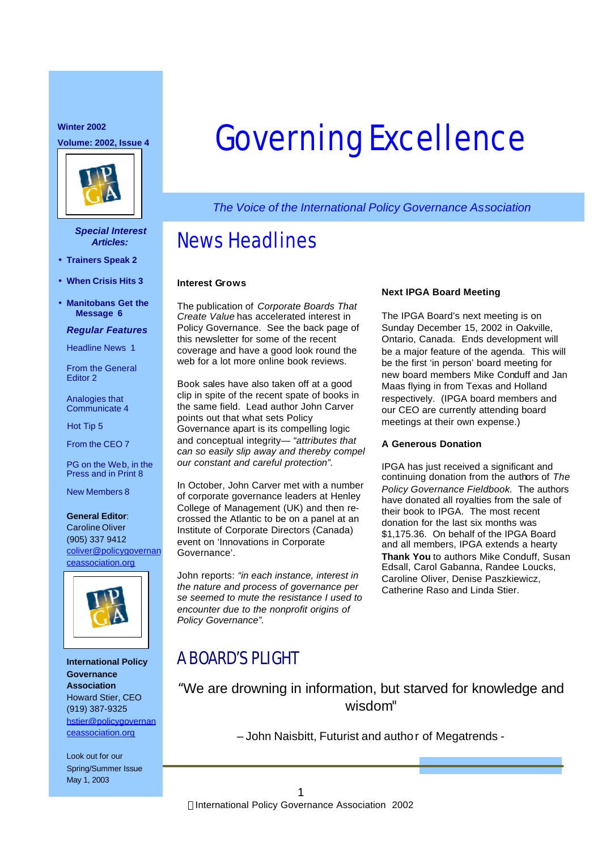### **Winter 2002**



### *Special Interest Articles:*

- **Trainers Speak 2**
- **When Crisis Hits 3**
- **Manitobans Get the Message 6**

### *Regular Features*

Headline News 1

From the General Editor 2

Analogies that Communicate 4

Hot Tip 5

From the CEO 7

PG on the Web, in the Press and in Print 8

New Members 8

### **General Editor**:

Caroline Oliver (905) 337 9412 coliver@policygovernan ceassociation.org



**International Policy Governance Association** Howard Stier, CEO (919) 387-9325 hstier@policygovernan ceassociation.org

Look out for our Spring/Summer Issue May 1, 2003

# Winter 2002, Issue 4 **Governing Excellence**

*The Voice of the International Policy Governance Association*

## News Headlines

### **Interest Grows**

The publication of *Corporate Boards That Create Value* has accelerated interest in Policy Governance. See the back page of this newsletter for some of the recent coverage and have a good look round the web for a lot more online book reviews.

Book sales have also taken off at a good clip in spite of the recent spate of books in the same field. Lead author John Carver points out that what sets Policy Governance apart is its compelling logic and conceptual integrity— *"attributes that can so easily slip away and thereby compel our constant and careful protection".*

In October, John Carver met with a number of corporate governance leaders at Henley College of Management (UK) and then recrossed the Atlantic to be on a panel at an Institute of Corporate Directors (Canada) event on 'Innovations in Corporate Governance'.

John reports: *"in each instance, interest in the nature and process of governance per se seemed to mute the resistance I used to encounter due to the nonprofit origins of Policy Governance".*

### **Next IPGA Board Meeting**

The IPGA Board's next meeting is on Sunday December 15, 2002 in Oakville, Ontario, Canada. Ends development will be a major feature of the agenda. This will be the first 'in person' board meeting for new board members Mike Conduff and Jan Maas flying in from Texas and Holland respectively. (IPGA board members and our CEO are currently attending board meetings at their own expense.)

### **A Generous Donation**

IPGA has just received a significant and continuing donation from the authors of *The Policy Governance Fieldbook.* The authors have donated all royalties from the sale of their book to IPGA. The most recent donation for the last six months was \$1,175.36. On behalf of the IPGA Board and all members, IPGA extends a hearty **Thank You** to authors Mike Conduff, Susan Edsall, Carol Gabanna, Randee Loucks, Caroline Oliver, Denise Paszkiewicz, Catherine Raso and Linda Stier.

## A BOARD'S PLIGHT

"We are drowning in information, but starved for knowledge and wisdom*"*

– John Naisbitt, Futurist and author of Megatrends -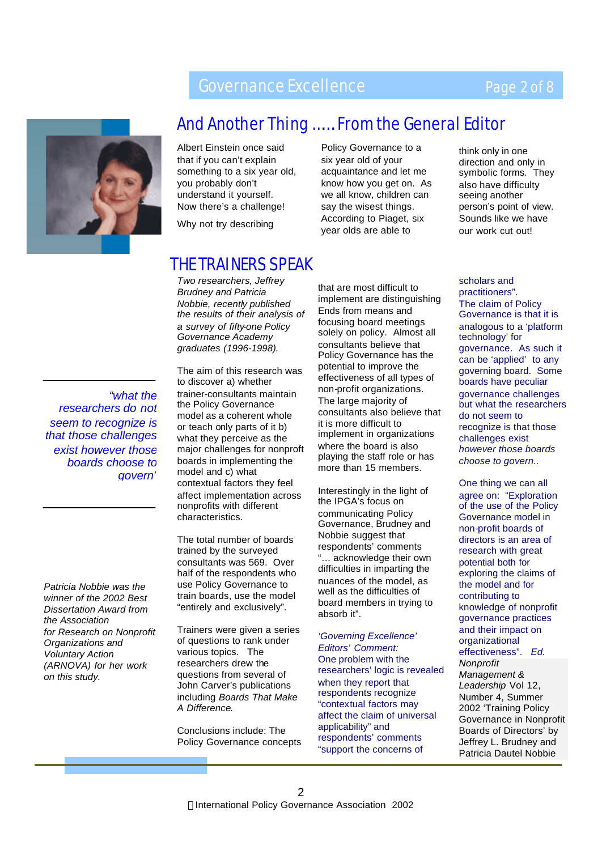## Governance Excellence

## Page 2 of 8



## And Another Thing ……. From the General Editor

Albert Einstein once said that if you can't explain something to a six year old, you probably don't understand it yourself. Now there's a challenge!

Why not try describing

## THE TRAINERS SPEAK

*Two researchers, Jeffrey Brudney and Patricia Nobbie, recently published the results of their analysis of a survey of fifty-one Policy Governance Academy graduates (1996-1998).*

*"what the researchers do not seem to recognize is that those challenges exist however those boards choose to govern"*

*Patricia Nobbie was the winner of the 2002 Best Dissertation Award from the Association for Research on Nonprofit Organizations and Voluntary Action (ARNOVA) for her work on this study.*

The aim of this research was to discover a) whether trainer-consultants maintain the Policy Governance model as a coherent whole or teach only parts of it b) what they perceive as the major challenges for nonproft boards in implementing the model and c) what contextual factors they feel affect implementation across nonprofits with different characteristics.

The total number of boards trained by the surveyed consultants was 569. Over half of the respondents who use Policy Governance to train boards, use the model "entirely and exclusively".

Trainers were given a series of questions to rank under various topics. The researchers drew the questions from several of John Carver's publications including *Boards That Make A Difference*.

Conclusions include: The Policy Governance concepts acquaintance and let me know how you get on. As we all know, children can say the wisest things. According to Piaget, six year olds are able to

Policy Governance to a six year old of your

think only in one direction and only in symbolic forms. They also have difficulty seeing another person's point of view. Sounds like we have our work cut out!

that are most difficult to implement are distinguishing Ends from means and focusing board meetings solely on policy. Almost all consultants believe that Policy Governance has the potential to improve the effectiveness of all types of non-profit organizations. The large majority of consultants also believe that it is more difficult to implement in organizations where the board is also playing the staff role or has more than 15 members.

Interestingly in the light of the IPGA's focus on communicating Policy Governance, Brudney and Nobbie suggest that respondents' comments "… acknowledge their own difficulties in imparting the nuances of the model, as well as the difficulties of board members in trying to absorb it".

*'Governing Excellence' Editors' Comment:* One problem with the researchers' logic is revealed when they report that respondents recognize "contextual factors may affect the claim of universal applicability" and respondents' comments "support the concerns of

scholars and practitioners". The claim of Policy Governance is that it is analogous to a 'platform technology' for governance. As such it can be 'applied' to any governing board. Some boards have peculiar governance challenges but what the researchers do not seem to recognize is that those challenges exist *however those boards choose to govern..*

One thing we can all agree on: "Exploration of the use of the Policy Governance model in non-profit boards of directors is an area of research with great potential both for exploring the claims of the model and for contributing to knowledge of nonprofit governance practices and their impact on organizational effectiveness". *Ed. Nonprofit Management & Leadership* Vol 12, Number 4, Summer 2002 'Training Policy Governance in Nonprofit Boards of Directors' by Jeffrey L. Brudney and Patricia Dautel Nobbie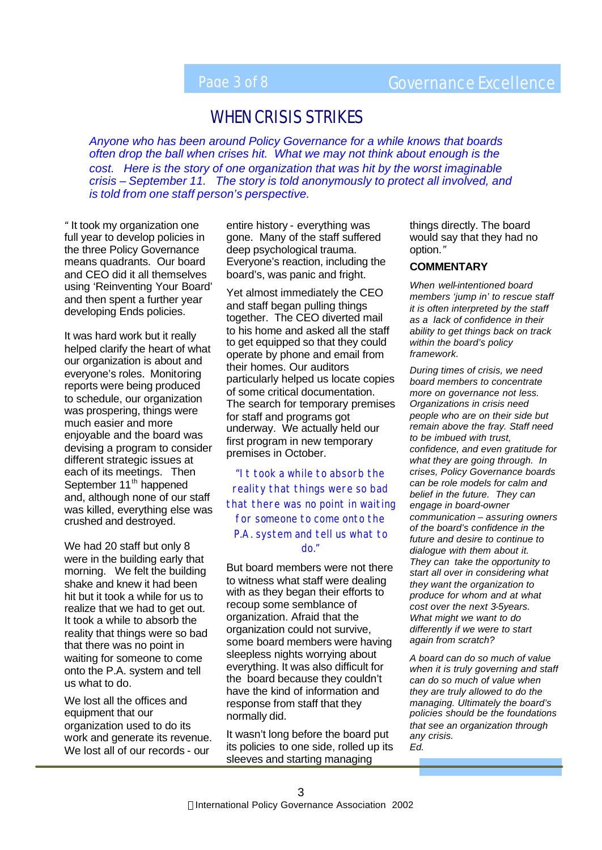## Page 3 of 8 Governance Excellence

## WHEN CRISIS STRIKES

*Anyone who has been around Policy Governance for a while knows that boards often drop the ball when crises hit. What we may not think about enough is the cost. Here is the story of one organization that was hit by the worst imaginable crisis – September 11. The story is told anonymously to protect all involved, and is told from one staff person's perspective.*

*"* It took my organization one full year to develop policies in the three Policy Governance means quadrants. Our board and CEO did it all themselves using 'Reinventing Your Board' and then spent a further year developing Ends policies.

It was hard work but it really helped clarify the heart of what our organization is about and everyone's roles. Monitoring reports were being produced to schedule, our organization was prospering, things were much easier and more enjoyable and the board was devising a program to consider different strategic issues at each of its meetings. Then September 11<sup>th</sup> happened and, although none of our staff was killed, everything else was crushed and destroyed.

We had 20 staff but only 8 were in the building early that morning. We felt the building shake and knew it had been hit but it took a while for us to realize that we had to get out. It took a while to absorb the reality that things were so bad that there was no point in waiting for someone to come onto the P.A. system and tell us what to do.

We lost all the offices and equipment that our organization used to do its work and generate its revenue. We lost all of our records - our

entire history - everything was gone. Many of the staff suffered deep psychological trauma. Everyone's reaction, including the board's, was panic and fright.

Yet almost immediately the CEO and staff began pulling things together. The CEO diverted mail to his home and asked all the staff to get equipped so that they could operate by phone and email from their homes. Our auditors particularly helped us locate copies of some critical documentation. The search for temporary premises for staff and programs got underway. We actually held our first program in new temporary premises in October.

*"It took a while to absorb the reality that things were so bad that there was no point in waiting for someone to come onto the P.A. system and tell us what to do."*

But board members were not there to witness what staff were dealing with as they began their efforts to recoup some semblance of organization. Afraid that the organization could not survive, some board members were having sleepless nights worrying about everything. It was also difficult for the board because they couldn't have the kind of information and response from staff that they normally did.

It wasn't long before the board put its policies to one side, rolled up its sleeves and starting managing

things directly. The board would say that they had no option.*"*

### **COMMENTARY**

*When well-intentioned board members 'jump in' to rescue staff it is often interpreted by the staff as a lack of confidence in their ability to get things back on track within the board's policy framework.* 

*During times of crisis, we need board members to concentrate more on governance not less. Organizations in crisis need people who are on their side but remain above the fray. Staff need to be imbued with trust, confidence, and even gratitude for what they are going through. In crises, Policy Governance boards can be role models for calm and belief in the future. They can engage in board-owner communication – assuring owners of the board's confidence in the future and desire to continue to dialogue with them about it. They can take the opportunity to start all over in considering what they want the organization to produce for whom and at what cost over the next 3-5years. What might we want to do differently if we were to start again from scratch?* 

*A board can do so much of value when it is truly governing and staff can do so much of value when they are truly allowed to do the managing. Ultimately the board's policies should be the foundations that see an organization through any crisis. Ed.*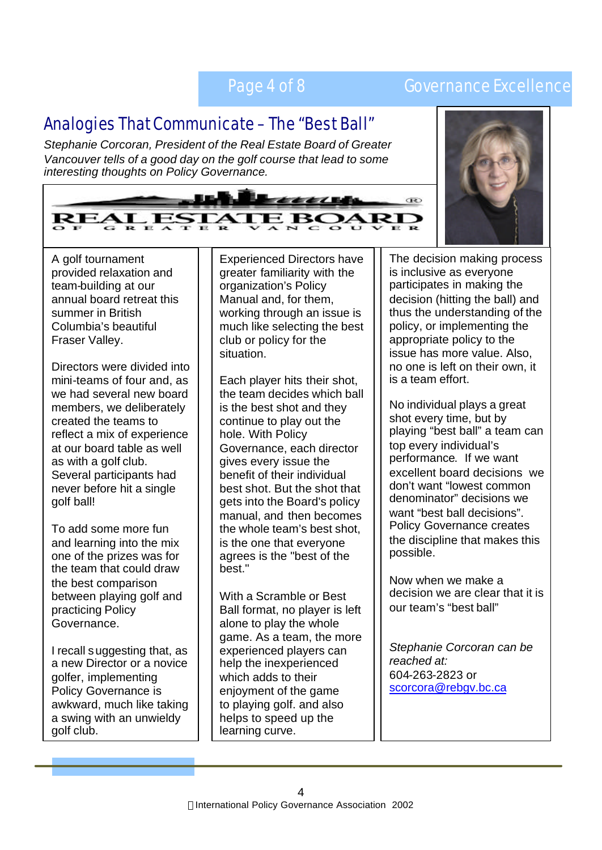## Page 4 of 8 Governance Excellence

## Analogies That Communicate – The "Best Ball"

*Stephanie Corcoran, President of the Real Estate Board of Greater Vancouver tells of a good day on the golf course that lead to some interesting thoughts on Policy Governance.* 





A golf tournament provided relaxation and team-building at our annual board retreat this summer in British Columbia's beautiful Fraser Valley.

Directors were divided into mini-teams of four and, as we had several new board members, we deliberately created the teams to reflect a mix of experience at our board table as well as with a golf club. Several participants had never before hit a single golf ball!

To add some more fun and learning into the mix one of the prizes was for the team that could draw the best comparison between playing golf and practicing Policy Governance.

I recall suggesting that, as a new Director or a novice golfer, implementing Policy Governance is awkward, much like taking a swing with an unwieldy golf club.

Experienced Directors have greater familiarity with the organization's Policy Manual and, for them, working through an issue is much like selecting the best club or policy for the situation.

Each player hits their shot, the team decides which ball is the best shot and they continue to play out the hole. With Policy Governance, each director gives every issue the benefit of their individual best shot. But the shot that gets into the Board's policy manual, and then becomes the whole team's best shot, is the one that everyone agrees is the "best of the best."

With a Scramble or Best Ball format, no player is left alone to play the whole game. As a team, the more experienced players can help the inexperienced which adds to their enjoyment of the game to playing golf. and also helps to speed up the learning curve.

The decision making process is inclusive as everyone participates in making the decision (hitting the ball) and thus the understanding of the policy, or implementing the appropriate policy to the issue has more value. Also, no one is left on their own, it is a team effort.

No individual plays a great shot every time, but by playing "best ball" a team can top every individual's performance. If we want excellent board decisions we don't want "lowest common denominator" decisions we want "best ball decisions". Policy Governance creates the discipline that makes this possible.

Now when we make a decision we are clear that it is our team's "best ball"

*Stephanie Corcoran can be reached at:* 604-263-2823 or scorcora@rebgv.bc.ca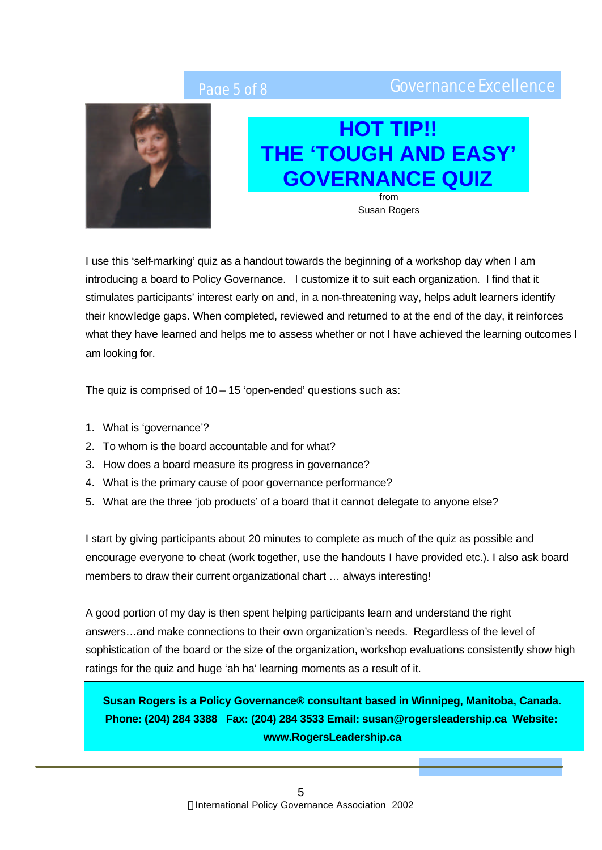## Page 5 of 8 Governance Excellence



## **HOT TIP!! THE 'TOUGH AND EASY' GOVERNANCE QUIZ**

from Susan Rogers

I use this 'self-marking' quiz as a handout towards the beginning of a workshop day when I am introducing a board to Policy Governance. I customize it to suit each organization. I find that it stimulates participants' interest early on and, in a non-threatening way, helps adult learners identify their knowledge gaps. When completed, reviewed and returned to at the end of the day, it reinforces what they have learned and helps me to assess whether or not I have achieved the learning outcomes I am looking for.

The quiz is comprised of  $10 - 15$  'open-ended' questions such as:

- 1. What is 'governance'?
- 2. To whom is the board accountable and for what?
- 3. How does a board measure its progress in governance?
- 4. What is the primary cause of poor governance performance?
- 5. What are the three 'job products' of a board that it cannot delegate to anyone else?

I start by giving participants about 20 minutes to complete as much of the quiz as possible and encourage everyone to cheat (work together, use the handouts I have provided etc.). I also ask board members to draw their current organizational chart … always interesting!

A good portion of my day is then spent helping participants learn and understand the right answers…and make connections to their own organization's needs. Regardless of the level of sophistication of the board or the size of the organization, workshop evaluations consistently show high ratings for the quiz and huge 'ah ha' learning moments as a result of it.

**Susan Rogers is a Policy Governance® consultant based in Winnipeg, Manitoba, Canada. Phone: (204) 284 3388 Fax: (204) 284 3533 Email: susan@rogersleadership.ca Website: www.RogersLeadership.ca**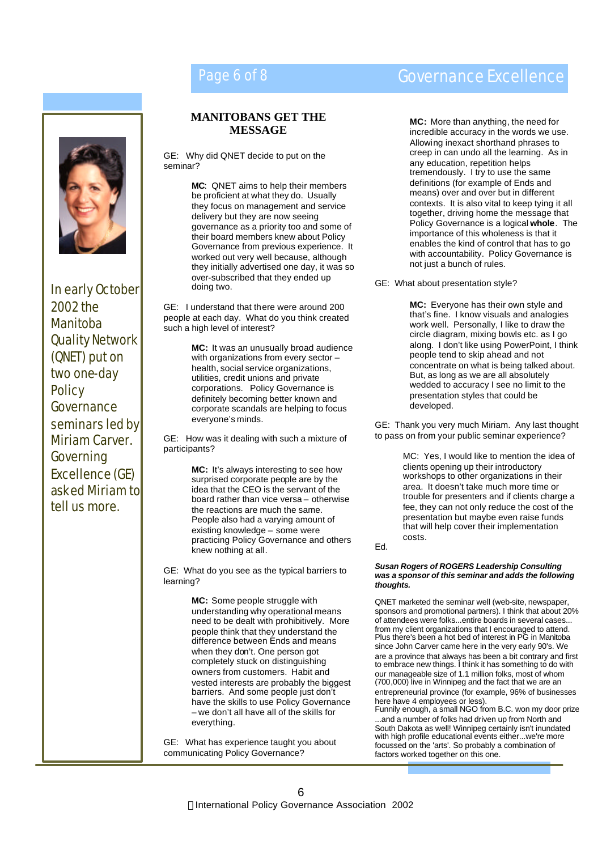

In early October 2002 the Manitoba Quality Network (QNET) put on two one-day **Policy** Governance seminars led by Miriam Carver*.*  Governing Excellence (GE) asked Miriam to tell us more.

### **MANITOBANS GET THE MESSAGE**

GE: Why did QNET decide to put on the seminar?

> **MC**: QNET aims to help their members be proficient at what they do. Usually they focus on management and service delivery but they are now seeing governance as a priority too and some of their board members knew about Policy Governance from previous experience. It worked out very well because, although they initially advertised one day, it was so over-subscribed that they ended up doing two.

GE: I understand that there were around 200 people at each day. What do you think created such a high level of interest?

> **MC:** It was an unusually broad audience with organizations from every sector – health, social service organizations, utilities, credit unions and private corporations. Policy Governance is definitely becoming better known and corporate scandals are helping to focus everyone's minds.

GE: How was it dealing with such a mixture of participants?

> **MC:** It's always interesting to see how surprised corporate people are by the idea that the CEO is the servant of the board rather than vice versa – otherwise the reactions are much the same. People also had a varying amount of existing knowledge – some were practicing Policy Governance and others knew nothing at all.

GE: What do you see as the typical barriers to learning?

> **MC:** Some people struggle with understanding why operational means need to be dealt with prohibitively. More people think that they understand the difference between Ends and means when they don't. One person got completely stuck on distinguishing owners from customers. Habit and vested interests are probably the biggest barriers. And some people just don't have the skills to use Policy Governance – we don't all have all of the skills for everything.

GE: What has experience taught you about communicating Policy Governance?

## Page 6 of 8 Governance Excellence

**MC:** More than anything, the need for incredible accuracy in the words we use. Allowing inexact shorthand phrases to creep in can undo all the learning. As in any education, repetition helps tremendously. I try to use the same definitions (for example of Ends and means) over and over but in different contexts. It is also vital to keep tying it all together, driving home the message that Policy Governance is a logical **whole**. The importance of this wholeness is that it enables the kind of control that has to go with accountability. Policy Governance is not just a bunch of rules.

GE: What about presentation style?

**MC:** Everyone has their own style and that's fine. I know visuals and analogies work well. Personally, I like to draw the circle diagram, mixing bowls etc. as I go along. I don't like using PowerPoint, I think people tend to skip ahead and not concentrate on what is being talked about. But, as long as we are all absolutely wedded to accuracy I see no limit to the presentation styles that could be developed.

GE: Thank you very much Miriam. Any last thought to pass on from your public seminar experience?

> MC: Yes, I would like to mention the idea of clients opening up their introductory workshops to other organizations in their area. It doesn't take much more time or trouble for presenters and if clients charge a fee, they can not only reduce the cost of the presentation but maybe even raise funds that will help cover their implementation costs.

Ed.

### *Susan Rogers of ROGERS Leadership Consulting was a sponsor of this seminar and adds the following thoughts.*

QNET marketed the seminar well (web-site, newspaper, sponsors and promotional partners). I think that about 20% of attendees were folks...entire boards in several cases... from my client organizations that I encouraged to attend. Plus there's been a hot bed of interest in PG in Manitoba since John Carver came here in the very early 90's. We are a province that always has been a bit contrary and first to embrace new things. I think it has something to do with our manageable size of 1.1 million folks, most of whom (700,000) live in Winnipeg and the fact that we are an entrepreneurial province (for example, 96% of businesses here have 4 employees or less).

Funnily enough, a small NGO from B.C. won my door prize ...and a number of folks had driven up from North and South Dakota as well! Winnipeg certainly isn't inundated with high profile educational events either...we're more focussed on the 'arts'. So probably a combination of factors worked together on this one.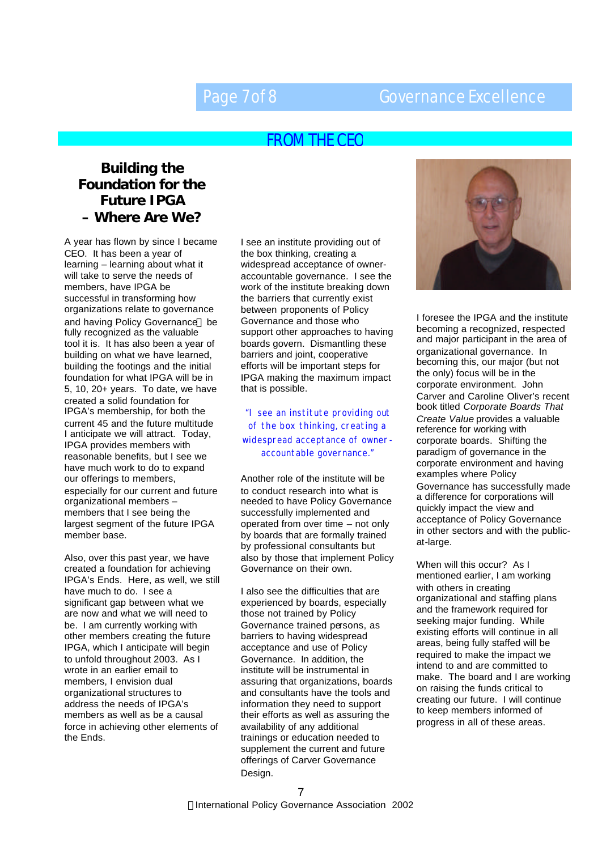## Page 7 of 8 Governance Excellence

## FROM THE CEO

## **Building the Foundation for the Future IPGA – Where Are We?**

A year has flown by since I became CEO. It has been a year of learning – learning about what it will take to serve the needs of members, have IPGA be successful in transforming how organizations relate to governance and having Policy Governance® be fully recognized as the valuable tool it is. It has also been a year of building on what we have learned, building the footings and the initial foundation for what IPGA will be in 5, 10, 20+ years. To date, we have created a solid foundation for IPGA's membership, for both the current 45 and the future multitude I anticipate we will attract. Today, IPGA provides members with reasonable benefits, but I see we have much work to do to expand our offerings to members, especially for our current and future organizational members – members that I see being the largest segment of the future IPGA member base.

Also, over this past year, we have created a foundation for achieving IPGA's Ends. Here, as well, we still have much to do. I see a significant gap between what we are now and what we will need to be. I am currently working with other members creating the future IPGA, which I anticipate will begin to unfold throughout 2003. As I wrote in an earlier email to members, I envision dual organizational structures to address the needs of IPGA's members as well as be a causal force in achieving other elements of the Ends.

I see an institute providing out of the box thinking, creating a widespread acceptance of owneraccountable governance. I see the work of the institute breaking down the barriers that currently exist between proponents of Policy Governance and those who support other approaches to having boards govern. Dismantling these barriers and joint, cooperative efforts will be important steps for IPGA making the maximum impact that is possible.

### "I see an institute providing out of the box thinking, creating a

## widespread acceptance of owneraccountable governance."

Another role of the institute will be to conduct research into what is needed to have Policy Governance successfully implemented and operated from over time – not only by boards that are formally trained by professional consultants but also by those that implement Policy Governance on their own.

I also see the difficulties that are experienced by boards, especially those not trained by Policy Governance trained persons, as barriers to having widespread acceptance and use of Policy Governance. In addition, the institute will be instrumental in assuring that organizations, boards and consultants have the tools and information they need to support their efforts as well as assuring the availability of any additional trainings or education needed to supplement the current and future offerings of Carver Governance Design.



I foresee the IPGA and the institute becoming a recognized, respected and major participant in the area of organizational governance. In becoming this, our major (but not the only) focus will be in the corporate environment. John Carver and Caroline Oliver's recent book titled *Corporate Boards That Create Value* provides a valuable reference for working with corporate boards. Shifting the paradigm of governance in the corporate environment and having examples where Policy Governance has successfully made a difference for corporations will quickly impact the view and acceptance of Policy Governance in other sectors and with the publicat-large.

When will this occur? As I mentioned earlier, I am working with others in creating organizational and staffing plans and the framework required for seeking major funding. While existing efforts will continue in all areas, being fully staffed will be required to make the impact we intend to and are committed to make. The board and I are working on raising the funds critical to creating our future. I will continue to keep members informed of progress in all of these areas.